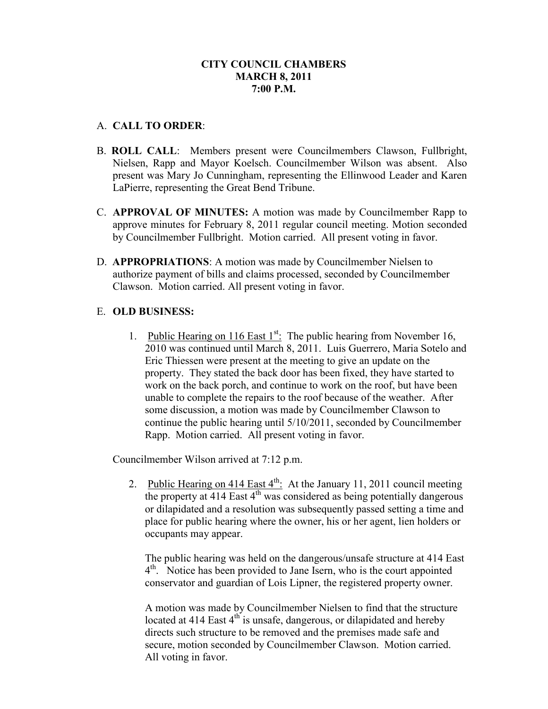#### A. **CALL TO ORDER**:

- B. **ROLL CALL**: Members present were Councilmembers Clawson, Fullbright, Nielsen, Rapp and Mayor Koelsch. Councilmember Wilson was absent. Also present was Mary Jo Cunningham, representing the Ellinwood Leader and Karen LaPierre, representing the Great Bend Tribune.
- C. **APPROVAL OF MINUTES:** A motion was made by Councilmember Rapp to approve minutes for February 8, 2011 regular council meeting. Motion seconded by Councilmember Fullbright. Motion carried. All present voting in favor.
- D. **APPROPRIATIONS**: A motion was made by Councilmember Nielsen to authorize payment of bills and claims processed, seconded by Councilmember Clawson. Motion carried. All present voting in favor.

# E. **OLD BUSINESS:**

1. Public Hearing on 116 East  $1<sup>st</sup>$ : The public hearing from November 16, 2010 was continued until March 8, 2011. Luis Guerrero, Maria Sotelo and Eric Thiessen were present at the meeting to give an update on the property. They stated the back door has been fixed, they have started to work on the back porch, and continue to work on the roof, but have been unable to complete the repairs to the roof because of the weather. After some discussion, a motion was made by Councilmember Clawson to continue the public hearing until 5/10/2011, seconded by Councilmember Rapp. Motion carried. All present voting in favor.

Councilmember Wilson arrived at 7:12 p.m.

2. Public Hearing on 414 East  $4^{th}$ . At the January 11, 2011 council meeting the property at  $414$  East  $4^{\text{th}}$  was considered as being potentially dangerous or dilapidated and a resolution was subsequently passed setting a time and place for public hearing where the owner, his or her agent, lien holders or occupants may appear.

The public hearing was held on the dangerous/unsafe structure at 414 East 4<sup>th</sup>. Notice has been provided to Jane Isern, who is the court appointed conservator and guardian of Lois Lipner, the registered property owner.

A motion was made by Councilmember Nielsen to find that the structure located at  $414$  East  $4^{\text{th}}$  is unsafe, dangerous, or dilapidated and hereby directs such structure to be removed and the premises made safe and secure, motion seconded by Councilmember Clawson. Motion carried. All voting in favor.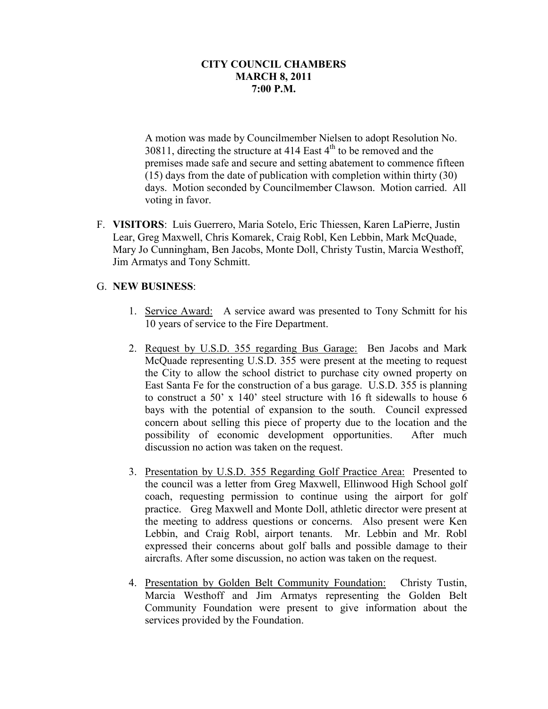A motion was made by Councilmember Nielsen to adopt Resolution No. 30811, directing the structure at 414 East  $4<sup>th</sup>$  to be removed and the premises made safe and secure and setting abatement to commence fifteen (15) days from the date of publication with completion within thirty (30) days. Motion seconded by Councilmember Clawson. Motion carried. All voting in favor.

F. **VISITORS**: Luis Guerrero, Maria Sotelo, Eric Thiessen, Karen LaPierre, Justin Lear, Greg Maxwell, Chris Komarek, Craig Robl, Ken Lebbin, Mark McQuade, Mary Jo Cunningham, Ben Jacobs, Monte Doll, Christy Tustin, Marcia Westhoff, Jim Armatys and Tony Schmitt.

# G. **NEW BUSINESS**:

- 1. Service Award: A service award was presented to Tony Schmitt for his 10 years of service to the Fire Department.
- 2. Request by U.S.D. 355 regarding Bus Garage: Ben Jacobs and Mark McQuade representing U.S.D. 355 were present at the meeting to request the City to allow the school district to purchase city owned property on East Santa Fe for the construction of a bus garage. U.S.D. 355 is planning to construct a 50' x 140' steel structure with 16 ft sidewalls to house 6 bays with the potential of expansion to the south. Council expressed concern about selling this piece of property due to the location and the possibility of economic development opportunities. After much discussion no action was taken on the request.
- 3. Presentation by U.S.D. 355 Regarding Golf Practice Area: Presented to the council was a letter from Greg Maxwell, Ellinwood High School golf coach, requesting permission to continue using the airport for golf practice. Greg Maxwell and Monte Doll, athletic director were present at the meeting to address questions or concerns. Also present were Ken Lebbin, and Craig Robl, airport tenants. Mr. Lebbin and Mr. Robl expressed their concerns about golf balls and possible damage to their aircrafts. After some discussion, no action was taken on the request.
- 4. Presentation by Golden Belt Community Foundation: Christy Tustin, Marcia Westhoff and Jim Armatys representing the Golden Belt Community Foundation were present to give information about the services provided by the Foundation.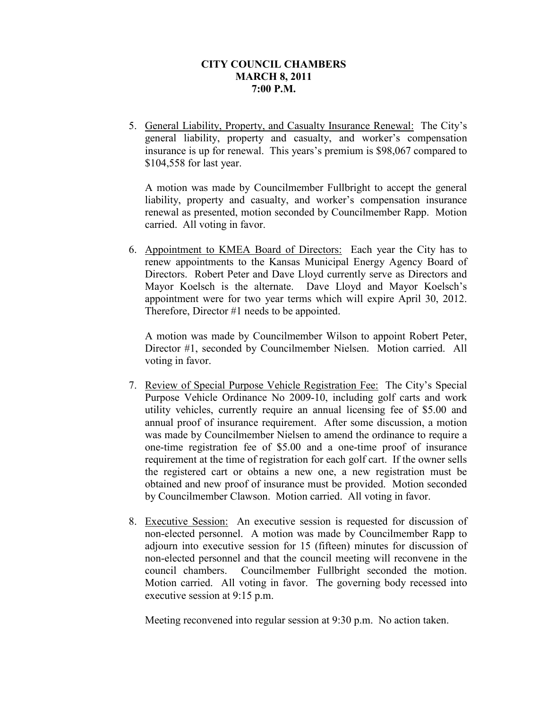5. General Liability, Property, and Casualty Insurance Renewal: The City's general liability, property and casualty, and worker's compensation insurance is up for renewal. This years's premium is \$98,067 compared to \$104,558 for last year.

A motion was made by Councilmember Fullbright to accept the general liability, property and casualty, and worker's compensation insurance renewal as presented, motion seconded by Councilmember Rapp. Motion carried. All voting in favor.

6. Appointment to KMEA Board of Directors: Each year the City has to renew appointments to the Kansas Municipal Energy Agency Board of Directors. Robert Peter and Dave Lloyd currently serve as Directors and Mayor Koelsch is the alternate. Dave Lloyd and Mayor Koelsch's appointment were for two year terms which will expire April 30, 2012. Therefore, Director #1 needs to be appointed.

A motion was made by Councilmember Wilson to appoint Robert Peter, Director #1, seconded by Councilmember Nielsen. Motion carried. All voting in favor.

- 7. Review of Special Purpose Vehicle Registration Fee: The City's Special Purpose Vehicle Ordinance No 2009-10, including golf carts and work utility vehicles, currently require an annual licensing fee of \$5.00 and annual proof of insurance requirement. After some discussion, a motion was made by Councilmember Nielsen to amend the ordinance to require a one-time registration fee of \$5.00 and a one-time proof of insurance requirement at the time of registration for each golf cart. If the owner sells the registered cart or obtains a new one, a new registration must be obtained and new proof of insurance must be provided. Motion seconded by Councilmember Clawson. Motion carried. All voting in favor.
- 8. Executive Session: An executive session is requested for discussion of non-elected personnel. A motion was made by Councilmember Rapp to adjourn into executive session for 15 (fifteen) minutes for discussion of non-elected personnel and that the council meeting will reconvene in the council chambers. Councilmember Fullbright seconded the motion. Motion carried. All voting in favor. The governing body recessed into executive session at 9:15 p.m.

Meeting reconvened into regular session at 9:30 p.m. No action taken.